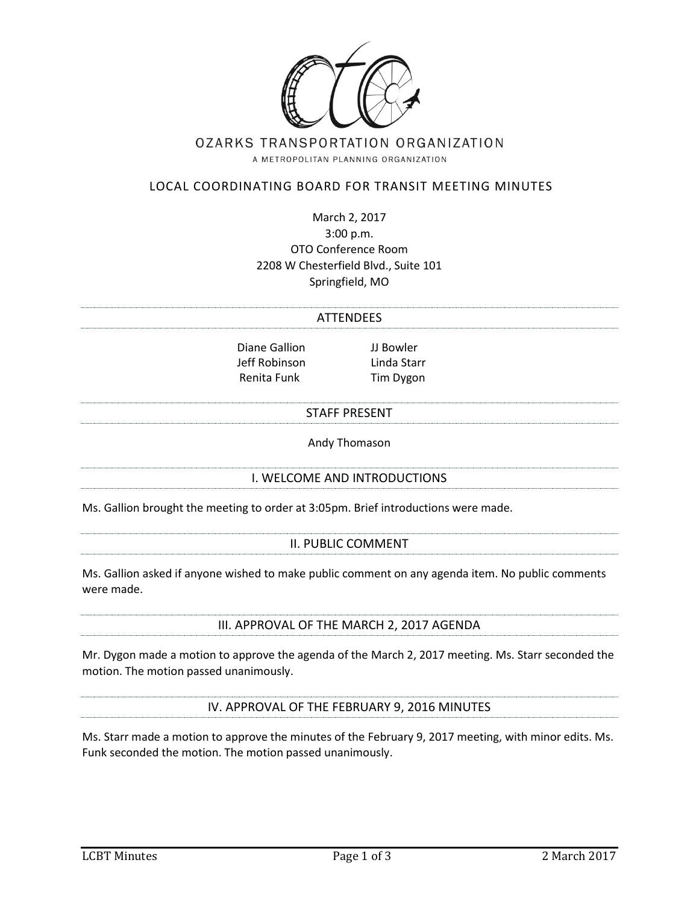

# OZARKS TRANSPORTATION ORGANIZATION

A METROPOLITAN PLANNING ORGANIZATION

# LOCAL COORDINATING BOARD FOR TRANSIT MEETING MINUTES

March 2, 2017 3:00 p.m. OTO Conference Room 2208 W Chesterfield Blvd., Suite 101 Springfield, MO

# ATTENDEES

Diane Gallion JJ Bowler Jeff Robinson Linda Starr Renita Funk Tim Dygon

#### STAFF PRESENT

Andy Thomason

# I. WELCOME AND INTRODUCTIONS

Ms. Gallion brought the meeting to order at 3:05pm. Brief introductions were made.

#### II. PUBLIC COMMENT

Ms. Gallion asked if anyone wished to make public comment on any agenda item. No public comments were made.

III. APPROVAL OF THE MARCH 2, 2017 AGENDA

Mr. Dygon made a motion to approve the agenda of the March 2, 2017 meeting. Ms. Starr seconded the motion. The motion passed unanimously.

IV. APPROVAL OF THE FEBRUARY 9, 2016 MINUTES

Ms. Starr made a motion to approve the minutes of the February 9, 2017 meeting, with minor edits. Ms. Funk seconded the motion. The motion passed unanimously.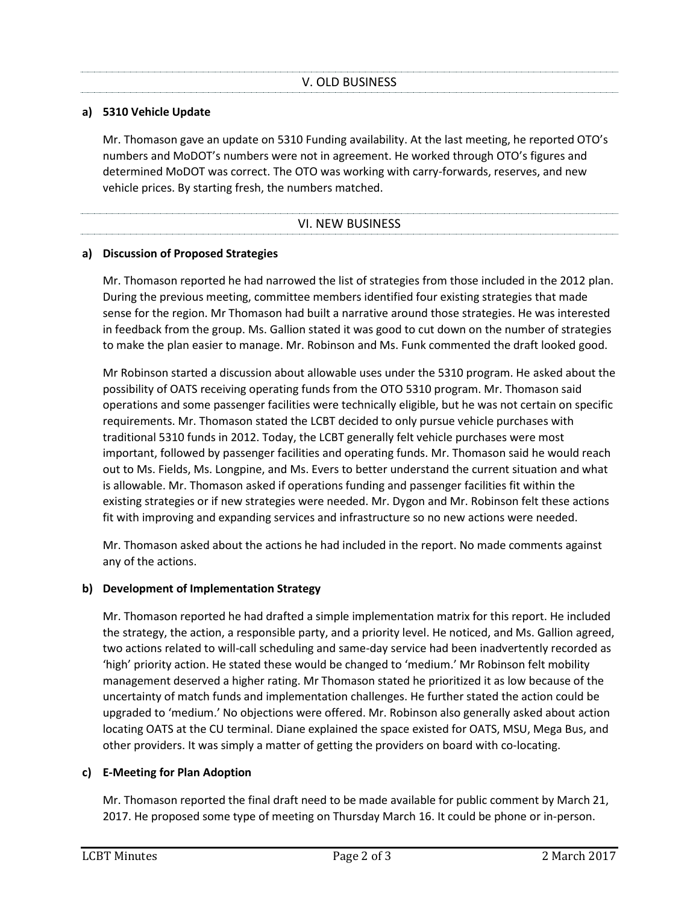# **a) 5310 Vehicle Update**

Mr. Thomason gave an update on 5310 Funding availability. At the last meeting, he reported OTO's numbers and MoDOT's numbers were not in agreement. He worked through OTO's figures and determined MoDOT was correct. The OTO was working with carry-forwards, reserves, and new vehicle prices. By starting fresh, the numbers matched.

#### VI. NEW BUSINESS

# **a) Discussion of Proposed Strategies**

Mr. Thomason reported he had narrowed the list of strategies from those included in the 2012 plan. During the previous meeting, committee members identified four existing strategies that made sense for the region. Mr Thomason had built a narrative around those strategies. He was interested in feedback from the group. Ms. Gallion stated it was good to cut down on the number of strategies to make the plan easier to manage. Mr. Robinson and Ms. Funk commented the draft looked good.

Mr Robinson started a discussion about allowable uses under the 5310 program. He asked about the possibility of OATS receiving operating funds from the OTO 5310 program. Mr. Thomason said operations and some passenger facilities were technically eligible, but he was not certain on specific requirements. Mr. Thomason stated the LCBT decided to only pursue vehicle purchases with traditional 5310 funds in 2012. Today, the LCBT generally felt vehicle purchases were most important, followed by passenger facilities and operating funds. Mr. Thomason said he would reach out to Ms. Fields, Ms. Longpine, and Ms. Evers to better understand the current situation and what is allowable. Mr. Thomason asked if operations funding and passenger facilities fit within the existing strategies or if new strategies were needed. Mr. Dygon and Mr. Robinson felt these actions fit with improving and expanding services and infrastructure so no new actions were needed.

Mr. Thomason asked about the actions he had included in the report. No made comments against any of the actions.

# **b) Development of Implementation Strategy**

Mr. Thomason reported he had drafted a simple implementation matrix for this report. He included the strategy, the action, a responsible party, and a priority level. He noticed, and Ms. Gallion agreed, two actions related to will-call scheduling and same-day service had been inadvertently recorded as 'high' priority action. He stated these would be changed to 'medium.' Mr Robinson felt mobility management deserved a higher rating. Mr Thomason stated he prioritized it as low because of the uncertainty of match funds and implementation challenges. He further stated the action could be upgraded to 'medium.' No objections were offered. Mr. Robinson also generally asked about action locating OATS at the CU terminal. Diane explained the space existed for OATS, MSU, Mega Bus, and other providers. It was simply a matter of getting the providers on board with co-locating.

# **c) E-Meeting for Plan Adoption**

Mr. Thomason reported the final draft need to be made available for public comment by March 21, 2017. He proposed some type of meeting on Thursday March 16. It could be phone or in-person.